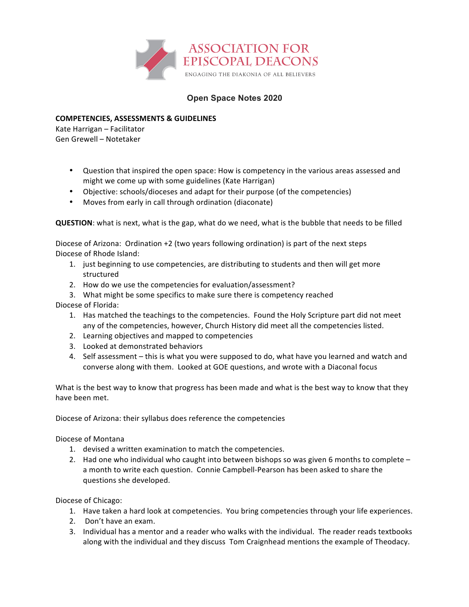

## **Open Space Notes 2020**

## **COMPETENCIES, ASSESSMENTS & GUIDELINES**

Kate Harrigan – Facilitator Gen Grewell - Notetaker

- Question that inspired the open space: How is competency in the various areas assessed and might we come up with some guidelines (Kate Harrigan)
- Objective: schools/dioceses and adapt for their purpose (of the competencies)
- Moves from early in call through ordination (diaconate)

**QUESTION**: what is next, what is the gap, what do we need, what is the bubble that needs to be filled

Diocese of Arizona: Ordination  $+2$  (two years following ordination) is part of the next steps Diocese of Rhode Island:

- 1. just beginning to use competencies, are distributing to students and then will get more structured
- 2. How do we use the competencies for evaluation/assessment?
- 3. What might be some specifics to make sure there is competency reached

Diocese of Florida: 

- 1. Has matched the teachings to the competencies. Found the Holy Scripture part did not meet any of the competencies, however, Church History did meet all the competencies listed.
- 2. Learning objectives and mapped to competencies
- 3. Looked at demonstrated behaviors
- 4. Self assessment this is what you were supposed to do, what have you learned and watch and converse along with them. Looked at GOE questions, and wrote with a Diaconal focus

What is the best way to know that progress has been made and what is the best way to know that they have been met.

Diocese of Arizona: their syllabus does reference the competencies

Diocese of Montana

- 1. devised a written examination to match the competencies.
- 2. Had one who individual who caught into between bishops so was given 6 months to complete  $$ a month to write each question. Connie Campbell-Pearson has been asked to share the questions she developed.

Diocese of Chicago:

- 1. Have taken a hard look at competencies. You bring competencies through your life experiences.
- 2. Don't have an exam.
- 3. Individual has a mentor and a reader who walks with the individual. The reader reads textbooks along with the individual and they discuss Tom Craignhead mentions the example of Theodacy.